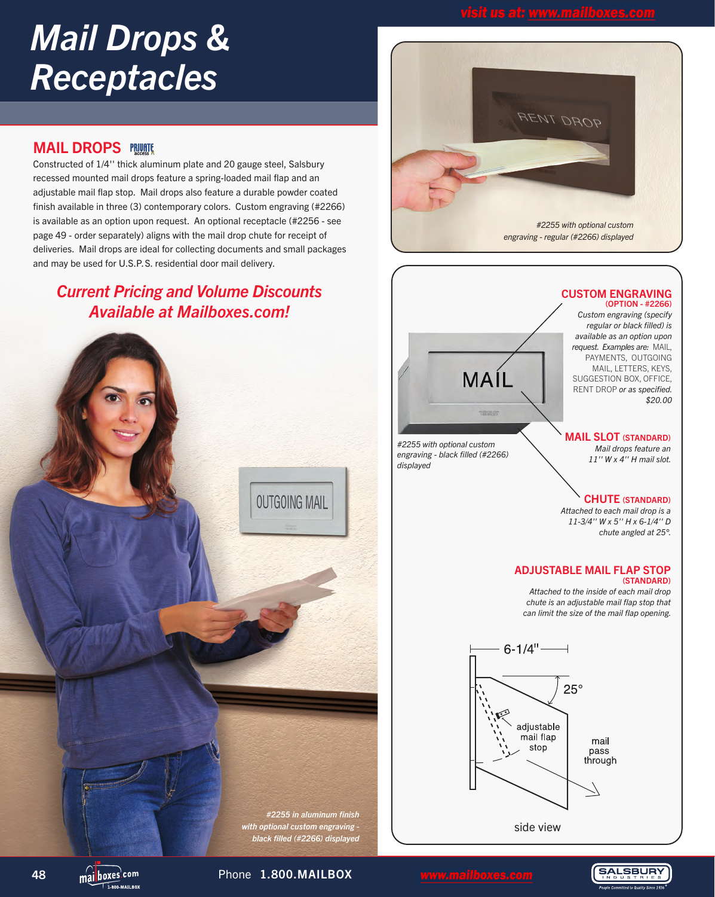# *Mail Drops & Receptacles*

## **MAIL DROPS PRUME**

Constructed of 1/4'' thick aluminum plate and 20 gauge steel, Salsbury recessed mounted mail drops feature a spring-loaded mail flap and an adjustable mail flap stop. Mail drops also feature a durable powder coated finish available in three (3) contemporary colors. Custom engraving (#2266) is available as an option upon request. An optional receptacle (#2256 - see page 49 - order separately) aligns with the mail drop chute for receipt of deliveries. Mail drops are ideal for collecting documents and small packages and may be used for U.S.P.S. residential door mail delivery.

# *Current Pricing and Volume Discounts Available at Mailboxes.com!*







side view

**SALSBURY** 

48 mailboxes<sup>.com</sup> Phone 1.800.MAILBOX